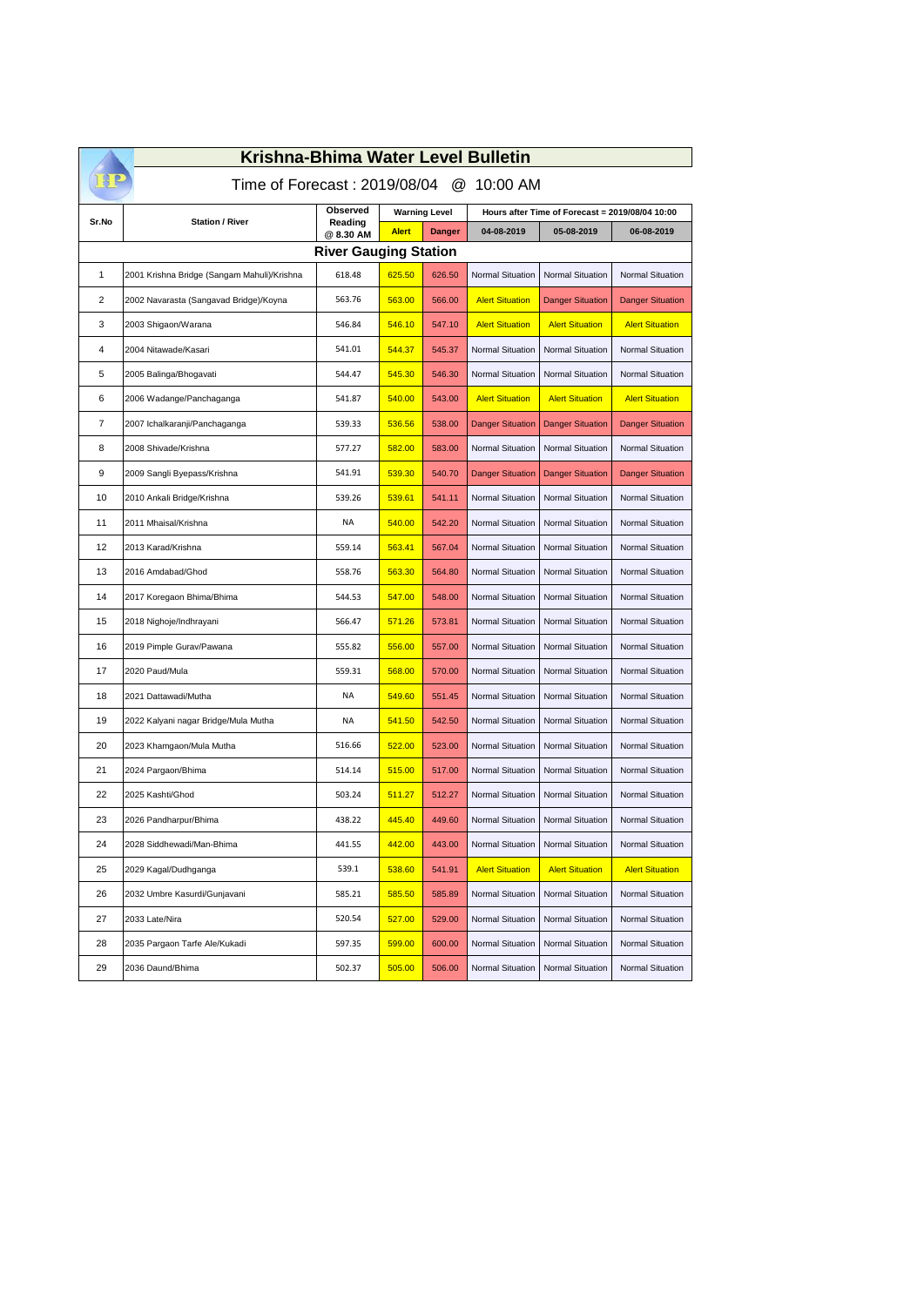| Krishna-Bhima Water Level Bulletin         |                                             |                     |                      |               |                                                 |                         |                         |  |  |  |
|--------------------------------------------|---------------------------------------------|---------------------|----------------------|---------------|-------------------------------------------------|-------------------------|-------------------------|--|--|--|
| Time of Forecast: 2019/08/04<br>@ 10:00 AM |                                             |                     |                      |               |                                                 |                         |                         |  |  |  |
| Sr.No                                      | <b>Station / River</b>                      | Observed<br>Reading | <b>Warning Level</b> |               | Hours after Time of Forecast = 2019/08/04 10:00 |                         |                         |  |  |  |
|                                            |                                             | @ 8.30 AM           | <b>Alert</b>         | <b>Danger</b> | 04-08-2019                                      | 05-08-2019              | 06-08-2019              |  |  |  |
| <b>River Gauging Station</b>               |                                             |                     |                      |               |                                                 |                         |                         |  |  |  |
| 1                                          | 2001 Krishna Bridge (Sangam Mahuli)/Krishna | 618.48              | 625.50               | 626.50        | <b>Normal Situation</b>                         | <b>Normal Situation</b> | Normal Situation        |  |  |  |
| 2                                          | 2002 Navarasta (Sangavad Bridge)/Koyna      | 563.76              | 563.00               | 566.00        | <b>Alert Situation</b>                          | <b>Danger Situation</b> | <b>Danger Situation</b> |  |  |  |
| 3                                          | 2003 Shigaon/Warana                         | 546.84              | 546.10               | 547.10        | <b>Alert Situation</b>                          | <b>Alert Situation</b>  | <b>Alert Situation</b>  |  |  |  |
| 4                                          | 2004 Nitawade/Kasari                        | 541.01              | 544.37               | 545.37        | <b>Normal Situation</b>                         | <b>Normal Situation</b> | Normal Situation        |  |  |  |
| 5                                          | 2005 Balinga/Bhogavati                      | 544.47              | 545.30               | 546.30        | <b>Normal Situation</b>                         | <b>Normal Situation</b> | Normal Situation        |  |  |  |
| 6                                          | 2006 Wadange/Panchaganga                    | 541.87              | 540.00               | 543.00        | <b>Alert Situation</b>                          | <b>Alert Situation</b>  | <b>Alert Situation</b>  |  |  |  |
| $\overline{7}$                             | 2007 Ichalkaranji/Panchaganga               | 539.33              | 536.56               | 538.00        | <b>Danger Situation</b>                         | <b>Danger Situation</b> | <b>Danger Situation</b> |  |  |  |
| 8                                          | 2008 Shivade/Krishna                        | 577.27              | 582.00               | 583.00        | <b>Normal Situation</b>                         | <b>Normal Situation</b> | Normal Situation        |  |  |  |
| 9                                          | 2009 Sangli Byepass/Krishna                 | 541.91              | 539.30               | 540.70        | <b>Danger Situation</b>                         | <b>Danger Situation</b> | <b>Danger Situation</b> |  |  |  |
| 10                                         | 2010 Ankali Bridge/Krishna                  | 539.26              | 539.61               | 541.11        | <b>Normal Situation</b>                         | Normal Situation        | Normal Situation        |  |  |  |
| 11                                         | 2011 Mhaisal/Krishna                        | NA                  | 540.00               | 542.20        | <b>Normal Situation</b>                         | <b>Normal Situation</b> | Normal Situation        |  |  |  |
| 12                                         | 2013 Karad/Krishna                          | 559.14              | 563.41               | 567.04        | <b>Normal Situation</b>                         | Normal Situation        | Normal Situation        |  |  |  |
| 13                                         | 2016 Amdabad/Ghod                           | 558.76              | 563.30               | 564.80        | <b>Normal Situation</b>                         | <b>Normal Situation</b> | Normal Situation        |  |  |  |
| 14                                         | 2017 Koregaon Bhima/Bhima                   | 544.53              | 547.00               | 548.00        | <b>Normal Situation</b>                         | <b>Normal Situation</b> | Normal Situation        |  |  |  |
| 15                                         | 2018 Nighoje/Indhrayani                     | 566.47              | 571.26               | 573.81        | <b>Normal Situation</b>                         | Normal Situation        | Normal Situation        |  |  |  |
| 16                                         | 2019 Pimple Gurav/Pawana                    | 555.82              | 556.00               | 557.00        | <b>Normal Situation</b>                         | <b>Normal Situation</b> | Normal Situation        |  |  |  |
| 17                                         | 2020 Paud/Mula                              | 559.31              | 568.00               | 570.00        | <b>Normal Situation</b>                         | <b>Normal Situation</b> | Normal Situation        |  |  |  |
| 18                                         | 2021 Dattawadi/Mutha                        | NA                  | 549.60               | 551.45        | <b>Normal Situation</b>                         | Normal Situation        | Normal Situation        |  |  |  |
| 19                                         | 2022 Kalyani nagar Bridge/Mula Mutha        | NA                  | 541.50               | 542.50        | <b>Normal Situation</b>                         | <b>Normal Situation</b> | Normal Situation        |  |  |  |
| 20                                         | 2023 Khamgaon/Mula Mutha                    | 516.66              | 522.00               | 523.00        | <b>Normal Situation</b>                         | Normal Situation        | Normal Situation        |  |  |  |
| 21                                         | 2024 Pargaon/Bhima                          | 514.14              | 515.00               | 517.00        | <b>Normal Situation</b>                         | <b>Normal Situation</b> | Normal Situation        |  |  |  |
| 22                                         | 2025 Kashti/Ghod                            | 503.24              | 511.27               | 512.27        | <b>Normal Situation</b>                         | <b>Normal Situation</b> | Normal Situation        |  |  |  |
| 23                                         | 2026 Pandharpur/Bhima                       | 438.22              | 445.40               | 449.60        | <b>Normal Situation</b>                         | Normal Situation        | Normal Situation        |  |  |  |
| 24                                         | 2028 Siddhewadi/Man-Bhima                   | 441.55              | 442.00               | 443.00        | Normal Situation                                | Normal Situation        | Normal Situation        |  |  |  |
| 25                                         | 2029 Kagal/Dudhganga                        | 539.1               | 538.60               | 541.91        | <b>Alert Situation</b>                          | <b>Alert Situation</b>  | <b>Alert Situation</b>  |  |  |  |
| 26                                         | 2032 Umbre Kasurdi/Gunjavani                | 585.21              | 585.50               | 585.89        | <b>Normal Situation</b>                         | Normal Situation        | Normal Situation        |  |  |  |
| 27                                         | 2033 Late/Nira                              | 520.54              | 527.00               | 529.00        | <b>Normal Situation</b>                         | Normal Situation        | Normal Situation        |  |  |  |
| 28                                         | 2035 Pargaon Tarfe Ale/Kukadi               | 597.35              | 599.00               | 600.00        | <b>Normal Situation</b>                         | Normal Situation        | Normal Situation        |  |  |  |
| 29                                         | 2036 Daund/Bhima                            | 502.37              | 505.00               | 506.00        | <b>Normal Situation</b>                         | Normal Situation        | Normal Situation        |  |  |  |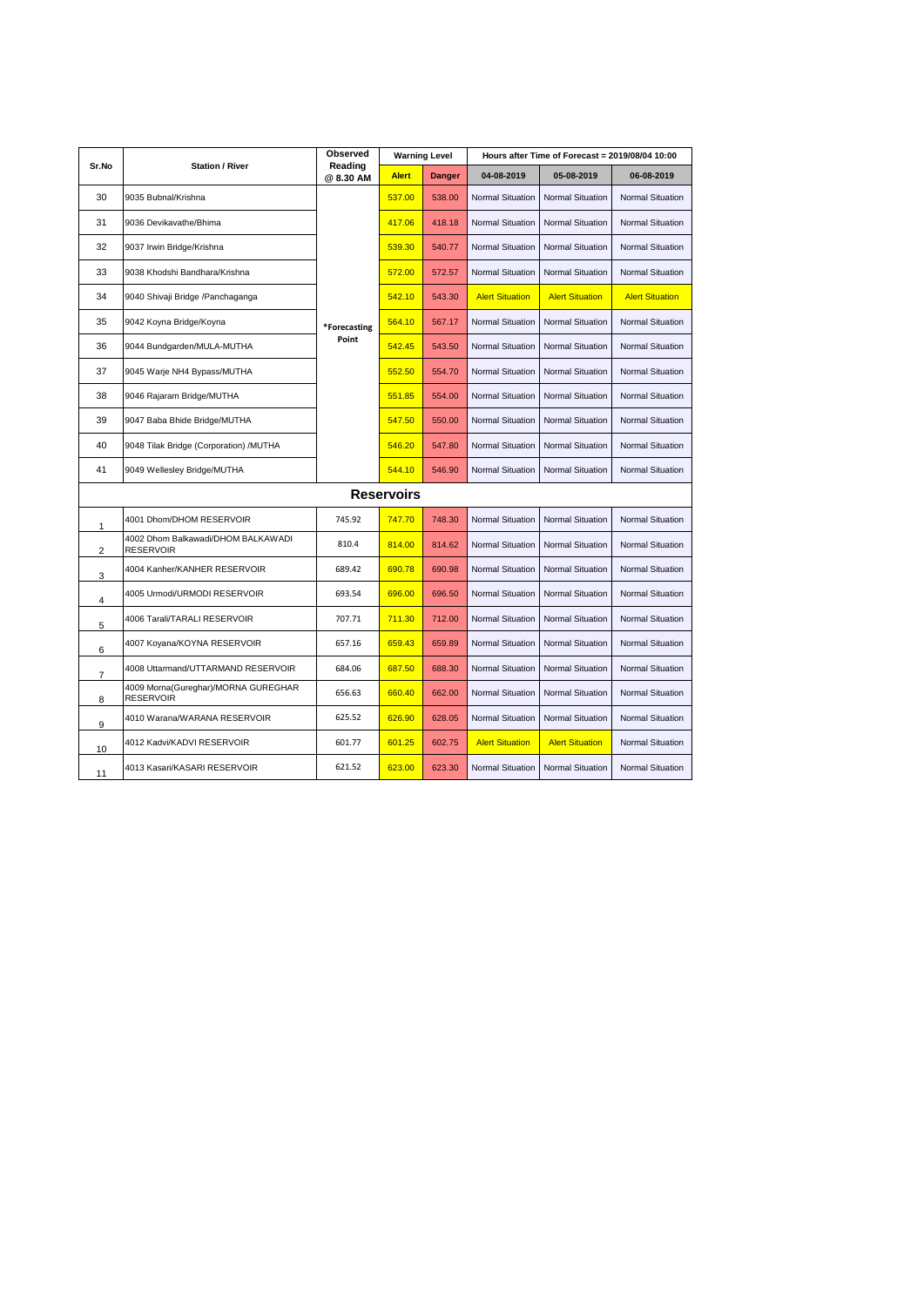|                   | <b>Station / River</b>                                  | Observed<br>Reading<br>@ 8.30 AM | <b>Warning Level</b> |               | Hours after Time of Forecast = 2019/08/04 10:00 |                         |                         |  |  |
|-------------------|---------------------------------------------------------|----------------------------------|----------------------|---------------|-------------------------------------------------|-------------------------|-------------------------|--|--|
| Sr.No             |                                                         |                                  | <b>Alert</b>         | <b>Danger</b> | 04-08-2019                                      | 05-08-2019              | 06-08-2019              |  |  |
| 30                | 9035 Bubnal/Krishna                                     | *Forecasting<br>Point            | 537.00               | 538.00        | <b>Normal Situation</b>                         | <b>Normal Situation</b> | Normal Situation        |  |  |
| 31                | 9036 Devikavathe/Bhima                                  |                                  | 417.06               | 418.18        | <b>Normal Situation</b>                         | <b>Normal Situation</b> | Normal Situation        |  |  |
| 32                | 9037 Irwin Bridge/Krishna                               |                                  | 539.30               | 540.77        | Normal Situation                                | <b>Normal Situation</b> | Normal Situation        |  |  |
| 33                | 9038 Khodshi Bandhara/Krishna                           |                                  | 572.00               | 572.57        | Normal Situation                                | <b>Normal Situation</b> | Normal Situation        |  |  |
| 34                | 9040 Shivaji Bridge /Panchaganga                        |                                  | 542.10               | 543.30        | <b>Alert Situation</b>                          | <b>Alert Situation</b>  | <b>Alert Situation</b>  |  |  |
| 35                | 9042 Koyna Bridge/Koyna                                 |                                  | 564.10               | 567.17        | <b>Normal Situation</b>                         | <b>Normal Situation</b> | Normal Situation        |  |  |
| 36                | 9044 Bundgarden/MULA-MUTHA                              |                                  | 542.45               | 543.50        | <b>Normal Situation</b>                         | <b>Normal Situation</b> | Normal Situation        |  |  |
| 37                | 9045 Warje NH4 Bypass/MUTHA                             |                                  | 552.50               | 554.70        | <b>Normal Situation</b>                         | <b>Normal Situation</b> | <b>Normal Situation</b> |  |  |
| 38                | 9046 Rajaram Bridge/MUTHA                               |                                  | 551.85               | 554.00        | Normal Situation                                | <b>Normal Situation</b> | Normal Situation        |  |  |
| 39                | 9047 Baba Bhide Bridge/MUTHA                            |                                  | 547.50               | 550.00        | Normal Situation                                | <b>Normal Situation</b> | Normal Situation        |  |  |
| 40                | 9048 Tilak Bridge (Corporation) /MUTHA                  |                                  | 546.20               | 547.80        | Normal Situation                                | <b>Normal Situation</b> | Normal Situation        |  |  |
| 41                | 9049 Wellesley Bridge/MUTHA                             |                                  | 544.10               | 546.90        | Normal Situation                                | <b>Normal Situation</b> | Normal Situation        |  |  |
| <b>Reservoirs</b> |                                                         |                                  |                      |               |                                                 |                         |                         |  |  |
| 1                 | 4001 Dhom/DHOM RESERVOIR                                | 745.92                           | 747.70               | 748.30        | Normal Situation                                | <b>Normal Situation</b> | Normal Situation        |  |  |
| 2                 | 4002 Dhom Balkawadi/DHOM BALKAWADI<br><b>RESERVOIR</b>  | 810.4                            | 814.00               | 814.62        | Normal Situation                                | <b>Normal Situation</b> | Normal Situation        |  |  |
| 3                 | 4004 Kanher/KANHER RESERVOIR                            | 689.42                           | 690.78               | 690.98        | Normal Situation                                | <b>Normal Situation</b> | Normal Situation        |  |  |
| 4                 | 4005 Urmodi/URMODI RESERVOIR                            | 693.54                           | 696.00               | 696.50        | <b>Normal Situation</b>                         | <b>Normal Situation</b> | Normal Situation        |  |  |
| 5                 | 4006 Tarali/TARALI RESERVOIR                            | 707.71                           | 711.30               | 712.00        | Normal Situation                                | <b>Normal Situation</b> | Normal Situation        |  |  |
| 6                 | 4007 Koyana/KOYNA RESERVOIR                             | 657.16                           | 659.43               | 659.89        | <b>Normal Situation</b>                         | <b>Normal Situation</b> | <b>Normal Situation</b> |  |  |
| 7                 | 4008 Uttarmand/UTTARMAND RESERVOIR                      | 684.06                           | 687.50               | 688.30        | Normal Situation                                | <b>Normal Situation</b> | Normal Situation        |  |  |
| 8                 | 4009 Morna(Gureghar)/MORNA GUREGHAR<br><b>RESERVOIR</b> | 656.63                           | 660.40               | 662.00        | Normal Situation                                | Normal Situation        | Normal Situation        |  |  |
| 9                 | 4010 Warana/WARANA RESERVOIR                            | 625.52                           | 626.90               | 628.05        | Normal Situation                                | Normal Situation        | Normal Situation        |  |  |
| 10                | 4012 Kadvi/KADVI RESERVOIR                              | 601.77                           | 601.25               | 602.75        | <b>Alert Situation</b>                          | <b>Alert Situation</b>  | Normal Situation        |  |  |
| 11                | 4013 Kasari/KASARI RESERVOIR                            | 621.52                           | 623.00               | 623.30        | <b>Normal Situation</b>                         | <b>Normal Situation</b> | Normal Situation        |  |  |